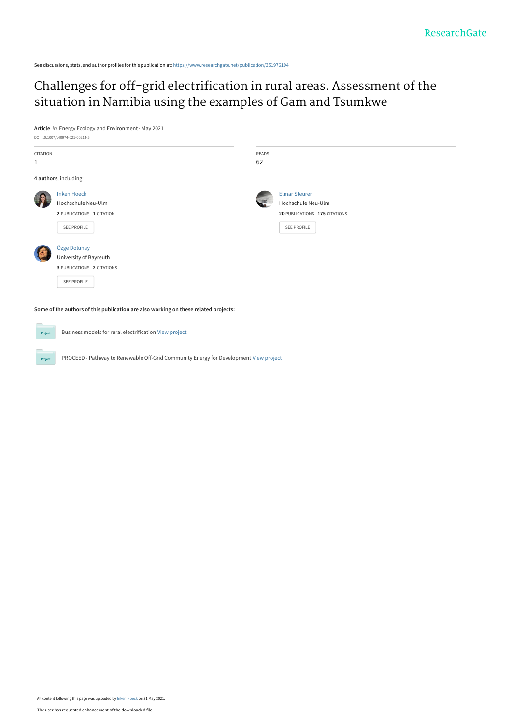See discussions, stats, and author profiles for this publication at: [https://www.researchgate.net/publication/351976194](https://www.researchgate.net/publication/351976194_Challenges_for_off-grid_electrification_in_rural_areas_Assessment_of_the_situation_in_Namibia_using_the_examples_of_Gam_and_Tsumkwe?enrichId=rgreq-8abbfef9615e19c258040d39d46eadf3-XXX&enrichSource=Y292ZXJQYWdlOzM1MTk3NjE5NDtBUzoxMDI5NTY2NTkyMjA0ODAwQDE2MjI0NzkyMTIyODA%3D&el=1_x_2&_esc=publicationCoverPdf)

# [Challenges for off-grid electrification in rural areas. Assessment of the](https://www.researchgate.net/publication/351976194_Challenges_for_off-grid_electrification_in_rural_areas_Assessment_of_the_situation_in_Namibia_using_the_examples_of_Gam_and_Tsumkwe?enrichId=rgreq-8abbfef9615e19c258040d39d46eadf3-XXX&enrichSource=Y292ZXJQYWdlOzM1MTk3NjE5NDtBUzoxMDI5NTY2NTkyMjA0ODAwQDE2MjI0NzkyMTIyODA%3D&el=1_x_3&_esc=publicationCoverPdf) situation in Namibia using the examples of Gam and Tsumkwe

**Article** in Energy Ecology and Environment · May 2021 DOI: 10.1007/s40974-021-00214-5

| <b>CITATION</b>                                                                     |                            | READS |                               |  |  |  |  |
|-------------------------------------------------------------------------------------|----------------------------|-------|-------------------------------|--|--|--|--|
| 1                                                                                   |                            | 62    |                               |  |  |  |  |
| 4 authors, including:                                                               |                            |       |                               |  |  |  |  |
| <b>P</b>                                                                            | <b>Inken Hoeck</b>         |       | <b>Elmar Steurer</b>          |  |  |  |  |
|                                                                                     | Hochschule Neu-Ulm         |       | Hochschule Neu-Ulm            |  |  |  |  |
|                                                                                     | 2 PUBLICATIONS 1 CITATION  |       | 20 PUBLICATIONS 175 CITATIONS |  |  |  |  |
|                                                                                     | SEE PROFILE                |       | <b>SEE PROFILE</b>            |  |  |  |  |
|                                                                                     | Özge Dolunay               |       |                               |  |  |  |  |
|                                                                                     | University of Bayreuth     |       |                               |  |  |  |  |
|                                                                                     | 3 PUBLICATIONS 2 CITATIONS |       |                               |  |  |  |  |
|                                                                                     | SEE PROFILE                |       |                               |  |  |  |  |
| Some of the authors of this publication are also working on these related projects: |                            |       |                               |  |  |  |  |

Business models for rural electrification [View project](https://www.researchgate.net/project/Business-models-for-rural-electrification?enrichId=rgreq-8abbfef9615e19c258040d39d46eadf3-XXX&enrichSource=Y292ZXJQYWdlOzM1MTk3NjE5NDtBUzoxMDI5NTY2NTkyMjA0ODAwQDE2MjI0NzkyMTIyODA%3D&el=1_x_9&_esc=publicationCoverPdf) **Project** 

Project

PROCEED - Pathway to Renewable Off-Grid Community Energy for Development [View project](https://www.researchgate.net/project/PROCEED-Pathway-to-Renewable-Off-Grid-Community-Energy-for-Development?enrichId=rgreq-8abbfef9615e19c258040d39d46eadf3-XXX&enrichSource=Y292ZXJQYWdlOzM1MTk3NjE5NDtBUzoxMDI5NTY2NTkyMjA0ODAwQDE2MjI0NzkyMTIyODA%3D&el=1_x_9&_esc=publicationCoverPdf)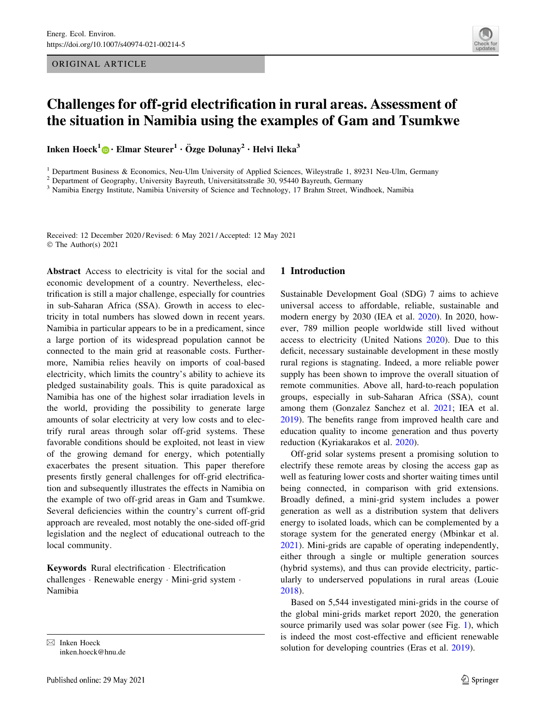ORIGINAL ARTICLE



## Challenges for off-grid electrification in rural areas. Assessment of the situation in Namibia using the examples of Gam and Tsumkwe

Inken Hoeck<sup>1</sup> • Elmar Steurer<sup>1</sup> · Özge Dolunay<sup>2</sup> · Helvi Ileka<sup>3</sup>

<sup>1</sup> Department Business & Economics, Neu-Ulm University of Applied Sciences, Wileystraße 1, 89231 Neu-Ulm, Germany <sup>2</sup> Department of Geography, University Bayreuth, University Sassets 30, 95440 Bayreuth, Germany

<sup>3</sup> Namibia Energy Institute, Namibia University of Science and Technology, 17 Brahm Street, Windhoek, Namibia

Received: 12 December 2020 / Revised: 6 May 2021 / Accepted: 12 May 2021 © The Author(s) 2021

Abstract Access to electricity is vital for the social and economic development of a country. Nevertheless, electrification is still a major challenge, especially for countries in sub-Saharan Africa (SSA). Growth in access to electricity in total numbers has slowed down in recent years. Namibia in particular appears to be in a predicament, since a large portion of its widespread population cannot be connected to the main grid at reasonable costs. Furthermore, Namibia relies heavily on imports of coal-based electricity, which limits the country's ability to achieve its pledged sustainability goals. This is quite paradoxical as Namibia has one of the highest solar irradiation levels in the world, providing the possibility to generate large amounts of solar electricity at very low costs and to electrify rural areas through solar off-grid systems. These favorable conditions should be exploited, not least in view of the growing demand for energy, which potentially exacerbates the present situation. This paper therefore presents firstly general challenges for off-grid electrification and subsequently illustrates the effects in Namibia on the example of two off-grid areas in Gam and Tsumkwe. Several deficiencies within the country's current off-grid approach are revealed, most notably the one-sided off-grid legislation and the neglect of educational outreach to the local community.

Keywords Rural electrification - Electrification challenges - Renewable energy - Mini-grid system - Namibia

inken.hoeck@hnu.de

#### 1 Introduction

Sustainable Development Goal (SDG) 7 aims to achieve universal access to affordable, reliable, sustainable and modern energy by 2030 (IEA et al. [2020](#page-14-0)). In 2020, however, 789 million people worldwide still lived without access to electricity (United Nations [2020](#page-15-0)). Due to this deficit, necessary sustainable development in these mostly rural regions is stagnating. Indeed, a more reliable power supply has been shown to improve the overall situation of remote communities. Above all, hard-to-reach population groups, especially in sub-Saharan Africa (SSA), count among them (Gonzalez Sanchez et al. [2021;](#page-14-0) IEA et al. [2019](#page-14-0)). The benefits range from improved health care and education quality to income generation and thus poverty reduction (Kyriakarakos et al. [2020\)](#page-15-0).

Off-grid solar systems present a promising solution to electrify these remote areas by closing the access gap as well as featuring lower costs and shorter waiting times until being connected, in comparison with grid extensions. Broadly defined, a mini-grid system includes a power generation as well as a distribution system that delivers energy to isolated loads, which can be complemented by a storage system for the generated energy (Mbinkar et al. [2021](#page-15-0)). Mini-grids are capable of operating independently, either through a single or multiple generation sources (hybrid systems), and thus can provide electricity, particularly to underserved populations in rural areas (Louie [2018](#page-15-0)).

Based on 5,544 investigated mini-grids in the course of the global mini-grids market report 2020, the generation source primarily used was solar power (see Fig. [1\)](#page-2-0), which is indeed the most cost-effective and efficient renewable  $\boxtimes$  Inken Hoeck<br>Solution for developing countries (Eras et al. [2019\)](#page-14-0).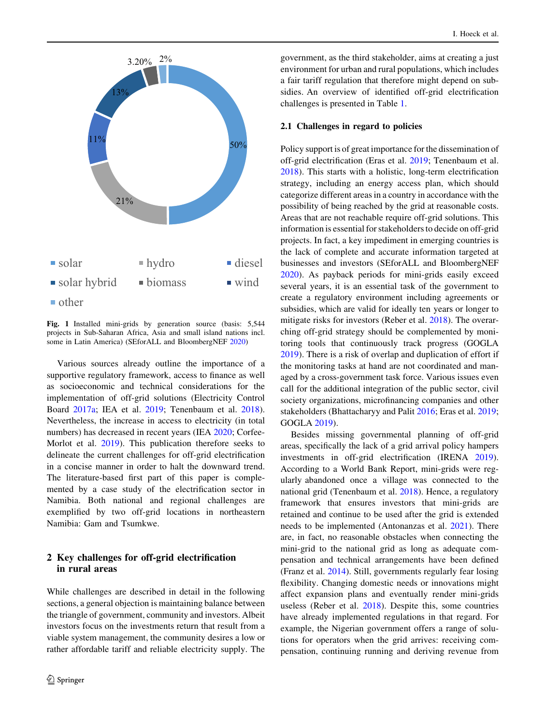<span id="page-2-0"></span>

Fig. 1 Installed mini-grids by generation source (basis: 5,544 projects in Sub-Saharan Africa, Asia and small island nations incl. some in Latin America) (SEforALL and BloombergNEF [2020\)](#page-15-0)

Various sources already outline the importance of a supportive regulatory framework, access to finance as well as socioeconomic and technical considerations for the implementation of off-grid solutions (Electricity Control Board [2017a](#page-14-0); IEA et al. [2019](#page-14-0); Tenenbaum et al. [2018](#page-15-0)). Nevertheless, the increase in access to electricity (in total numbers) has decreased in recent years (IEA [2020](#page-14-0); Corfee-Morlot et al. [2019](#page-14-0)). This publication therefore seeks to delineate the current challenges for off-grid electrification in a concise manner in order to halt the downward trend. The literature-based first part of this paper is complemented by a case study of the electrification sector in Namibia. Both national and regional challenges are exemplified by two off-grid locations in northeastern Namibia: Gam and Tsumkwe.

## 2 Key challenges for off-grid electrification in rural areas

While challenges are described in detail in the following sections, a general objection is maintaining balance between the triangle of government, community and investors. Albeit investors focus on the investments return that result from a viable system management, the community desires a low or rather affordable tariff and reliable electricity supply. The government, as the third stakeholder, aims at creating a just environment for urban and rural populations, which includes a fair tariff regulation that therefore might depend on subsidies. An overview of identified off-grid electrification challenges is presented in Table [1.](#page-3-0)

## 2.1 Challenges in regard to policies

Policy support is of great importance for the dissemination of off-grid electrification (Eras et al. [2019](#page-14-0); Tenenbaum et al. [2018](#page-15-0)). This starts with a holistic, long-term electrification strategy, including an energy access plan, which should categorize different areas in a country in accordance with the possibility of being reached by the grid at reasonable costs. Areas that are not reachable require off-grid solutions. This information is essential for stakeholders to decide on off-grid projects. In fact, a key impediment in emerging countries is the lack of complete and accurate information targeted at businesses and investors (SEforALL and BloombergNEF [2020](#page-15-0)). As payback periods for mini-grids easily exceed several years, it is an essential task of the government to create a regulatory environment including agreements or subsidies, which are valid for ideally ten years or longer to mitigate risks for investors (Reber et al. [2018\)](#page-15-0). The overarching off-grid strategy should be complemented by monitoring tools that continuously track progress (GOGLA [2019](#page-14-0)). There is a risk of overlap and duplication of effort if the monitoring tasks at hand are not coordinated and managed by a cross-government task force. Various issues even call for the additional integration of the public sector, civil society organizations, microfinancing companies and other stakeholders (Bhattacharyy and Palit [2016;](#page-13-0) Eras et al. [2019](#page-14-0); GOGLA [2019](#page-14-0)).

Besides missing governmental planning of off-grid areas, specifically the lack of a grid arrival policy hampers investments in off-grid electrification (IRENA [2019](#page-15-0)). According to a World Bank Report, mini-grids were regularly abandoned once a village was connected to the national grid (Tenenbaum et al. [2018](#page-15-0)). Hence, a regulatory framework that ensures investors that mini-grids are retained and continue to be used after the grid is extended needs to be implemented (Antonanzas et al. [2021](#page-13-0)). There are, in fact, no reasonable obstacles when connecting the mini-grid to the national grid as long as adequate compensation and technical arrangements have been defined (Franz et al. [2014\)](#page-14-0). Still, governments regularly fear losing flexibility. Changing domestic needs or innovations might affect expansion plans and eventually render mini-grids useless (Reber et al. [2018\)](#page-15-0). Despite this, some countries have already implemented regulations in that regard. For example, the Nigerian government offers a range of solutions for operators when the grid arrives: receiving compensation, continuing running and deriving revenue from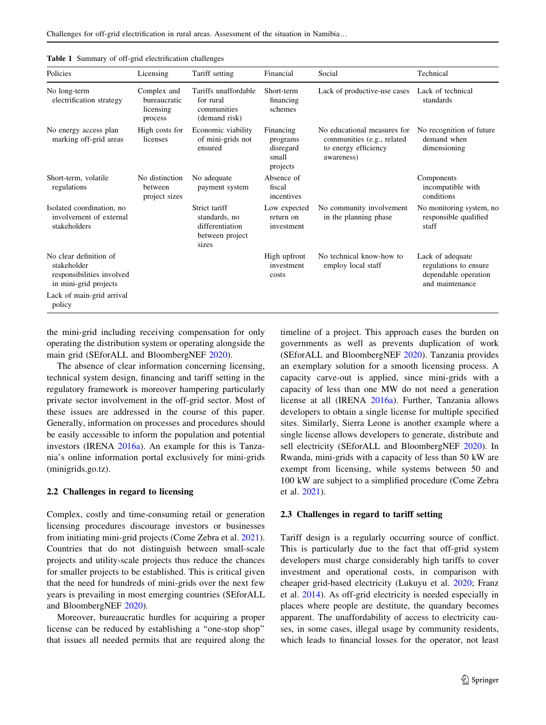| Policies                                                                                    | Licensing                                           | Tariff setting                                                                | Financial                                               | Social                                                                                          | Technical                                                                            |
|---------------------------------------------------------------------------------------------|-----------------------------------------------------|-------------------------------------------------------------------------------|---------------------------------------------------------|-------------------------------------------------------------------------------------------------|--------------------------------------------------------------------------------------|
| No long-term<br>electrification strategy                                                    | Complex and<br>bureaucratic<br>licensing<br>process | Tariffs unaffordable<br>for rural<br>communities<br>(demand risk)             | Short-term<br>financing<br>schemes                      | Lack of productive-use cases                                                                    | Lack of technical<br>standards                                                       |
| No energy access plan<br>marking off-grid areas                                             | High costs for<br>licenses                          | Economic viability<br>of mini-grids not<br>ensured                            | Financing<br>programs<br>disregard<br>small<br>projects | No educational measures for<br>communities (e.g., related<br>to energy efficiency<br>awareness) | No recognition of future<br>demand when<br>dimensioning                              |
| Short-term, volatile<br>regulations                                                         | No distinction<br>between<br>project sizes          | No adequate<br>payment system                                                 | Absence of<br>fiscal<br>incentives                      |                                                                                                 | Components<br>incompatible with<br>conditions                                        |
| Isolated coordination, no<br>involvement of external<br>stakeholders                        |                                                     | Strict tariff<br>standards, no<br>differentiation<br>between project<br>sizes | Low expected<br>return on<br>investment                 | No community involvement<br>in the planning phase                                               | No monitoring system, no<br>responsible qualified<br>staff                           |
| No clear definition of<br>stakeholder<br>responsibilities involved<br>in mini-grid projects |                                                     |                                                                               | High upfront<br>investment<br>costs                     | No technical know-how to<br>employ local staff                                                  | Lack of adequate<br>regulations to ensure<br>dependable operation<br>and maintenance |
| Lack of main-grid arrival<br>policy                                                         |                                                     |                                                                               |                                                         |                                                                                                 |                                                                                      |

<span id="page-3-0"></span>Table 1 Summary of off-grid electrification challenges

the mini-grid including receiving compensation for only operating the distribution system or operating alongside the main grid (SEforALL and BloombergNEF [2020](#page-15-0)).

The absence of clear information concerning licensing, technical system design, financing and tariff setting in the regulatory framework is moreover hampering particularly private sector involvement in the off-grid sector. Most of these issues are addressed in the course of this paper. Generally, information on processes and procedures should be easily accessible to inform the population and potential investors (IRENA [2016a](#page-14-0)). An example for this is Tanzania's online information portal exclusively for mini-grids (minigrids.go.tz).

#### 2.2 Challenges in regard to licensing

Complex, costly and time-consuming retail or generation licensing procedures discourage investors or businesses from initiating mini-grid projects (Come Zebra et al. [2021](#page-14-0)). Countries that do not distinguish between small-scale projects and utility-scale projects thus reduce the chances for smaller projects to be established. This is critical given that the need for hundreds of mini-grids over the next few years is prevailing in most emerging countries (SEforALL and BloombergNEF [2020\)](#page-15-0).

Moreover, bureaucratic hurdles for acquiring a proper license can be reduced by establishing a ''one-stop shop'' that issues all needed permits that are required along the timeline of a project. This approach eases the burden on governments as well as prevents duplication of work (SEforALL and BloombergNEF [2020\)](#page-15-0). Tanzania provides an exemplary solution for a smooth licensing process. A capacity carve-out is applied, since mini-grids with a capacity of less than one MW do not need a generation license at all (IRENA [2016a](#page-14-0)). Further, Tanzania allows developers to obtain a single license for multiple specified sites. Similarly, Sierra Leone is another example where a single license allows developers to generate, distribute and sell electricity (SEforALL and BloombergNEF [2020\)](#page-15-0). In Rwanda, mini-grids with a capacity of less than 50 kW are exempt from licensing, while systems between 50 and 100 kW are subject to a simplified procedure (Come Zebra et al. [2021\)](#page-14-0).

## 2.3 Challenges in regard to tariff setting

Tariff design is a regularly occurring source of conflict. This is particularly due to the fact that off-grid system developers must charge considerably high tariffs to cover investment and operational costs, in comparison with cheaper grid-based electricity (Lukuyu et al. [2020;](#page-15-0) Franz et al. [2014\)](#page-14-0). As off-grid electricity is needed especially in places where people are destitute, the quandary becomes apparent. The unaffordability of access to electricity causes, in some cases, illegal usage by community residents, which leads to financial losses for the operator, not least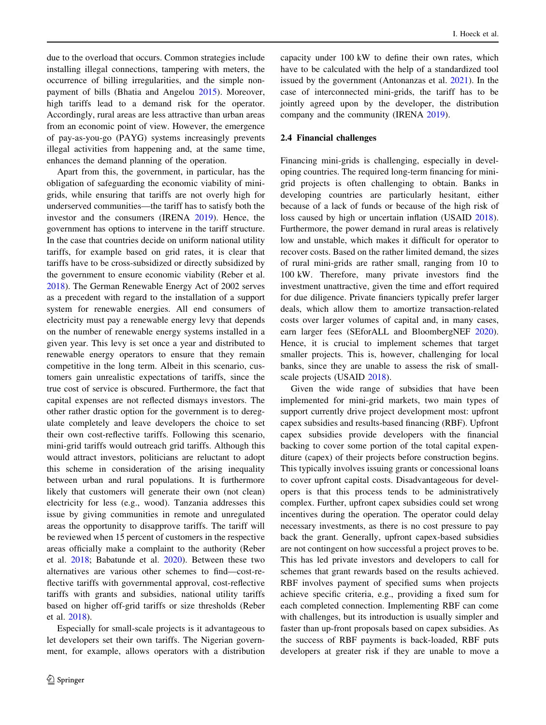due to the overload that occurs. Common strategies include installing illegal connections, tampering with meters, the occurrence of billing irregularities, and the simple nonpayment of bills (Bhatia and Angelou [2015\)](#page-13-0). Moreover, high tariffs lead to a demand risk for the operator. Accordingly, rural areas are less attractive than urban areas from an economic point of view. However, the emergence of pay-as-you-go (PAYG) systems increasingly prevents illegal activities from happening and, at the same time, enhances the demand planning of the operation.

Apart from this, the government, in particular, has the obligation of safeguarding the economic viability of minigrids, while ensuring that tariffs are not overly high for underserved communities—the tariff has to satisfy both the investor and the consumers (IRENA [2019\)](#page-14-0). Hence, the government has options to intervene in the tariff structure. In the case that countries decide on uniform national utility tariffs, for example based on grid rates, it is clear that tariffs have to be cross-subsidized or directly subsidized by the government to ensure economic viability (Reber et al. [2018\)](#page-15-0). The German Renewable Energy Act of 2002 serves as a precedent with regard to the installation of a support system for renewable energies. All end consumers of electricity must pay a renewable energy levy that depends on the number of renewable energy systems installed in a given year. This levy is set once a year and distributed to renewable energy operators to ensure that they remain competitive in the long term. Albeit in this scenario, customers gain unrealistic expectations of tariffs, since the true cost of service is obscured. Furthermore, the fact that capital expenses are not reflected dismays investors. The other rather drastic option for the government is to deregulate completely and leave developers the choice to set their own cost-reflective tariffs. Following this scenario, mini-grid tariffs would outreach grid tariffs. Although this would attract investors, politicians are reluctant to adopt this scheme in consideration of the arising inequality between urban and rural populations. It is furthermore likely that customers will generate their own (not clean) electricity for less (e.g., wood). Tanzania addresses this issue by giving communities in remote and unregulated areas the opportunity to disapprove tariffs. The tariff will be reviewed when 15 percent of customers in the respective areas officially make a complaint to the authority (Reber et al. [2018](#page-15-0); Babatunde et al. [2020\)](#page-13-0). Between these two alternatives are various other schemes to find—cost-reflective tariffs with governmental approval, cost-reflective tariffs with grants and subsidies, national utility tariffs based on higher off-grid tariffs or size thresholds (Reber et al. [2018\)](#page-15-0).

Especially for small-scale projects is it advantageous to let developers set their own tariffs. The Nigerian government, for example, allows operators with a distribution capacity under 100 kW to define their own rates, which have to be calculated with the help of a standardized tool issued by the government (Antonanzas et al. [2021](#page-13-0)). In the case of interconnected mini-grids, the tariff has to be jointly agreed upon by the developer, the distribution company and the community (IRENA [2019\)](#page-14-0).

#### 2.4 Financial challenges

Financing mini-grids is challenging, especially in developing countries. The required long-term financing for minigrid projects is often challenging to obtain. Banks in developing countries are particularly hesitant, either because of a lack of funds or because of the high risk of loss caused by high or uncertain inflation (USAID [2018](#page-15-0)). Furthermore, the power demand in rural areas is relatively low and unstable, which makes it difficult for operator to recover costs. Based on the rather limited demand, the sizes of rural mini-grids are rather small, ranging from 10 to 100 kW. Therefore, many private investors find the investment unattractive, given the time and effort required for due diligence. Private financiers typically prefer larger deals, which allow them to amortize transaction-related costs over larger volumes of capital and, in many cases, earn larger fees (SEforALL and BloombergNEF [2020](#page-15-0)). Hence, it is crucial to implement schemes that target smaller projects. This is, however, challenging for local banks, since they are unable to assess the risk of smallscale projects (USAID [2018\)](#page-15-0).

Given the wide range of subsidies that have been implemented for mini-grid markets, two main types of support currently drive project development most: upfront capex subsidies and results-based financing (RBF). Upfront capex subsidies provide developers with the financial backing to cover some portion of the total capital expenditure (capex) of their projects before construction begins. This typically involves issuing grants or concessional loans to cover upfront capital costs. Disadvantageous for developers is that this process tends to be administratively complex. Further, upfront capex subsidies could set wrong incentives during the operation. The operator could delay necessary investments, as there is no cost pressure to pay back the grant. Generally, upfront capex-based subsidies are not contingent on how successful a project proves to be. This has led private investors and developers to call for schemes that grant rewards based on the results achieved. RBF involves payment of specified sums when projects achieve specific criteria, e.g., providing a fixed sum for each completed connection. Implementing RBF can come with challenges, but its introduction is usually simpler and faster than up-front proposals based on capex subsidies. As the success of RBF payments is back-loaded, RBF puts developers at greater risk if they are unable to move a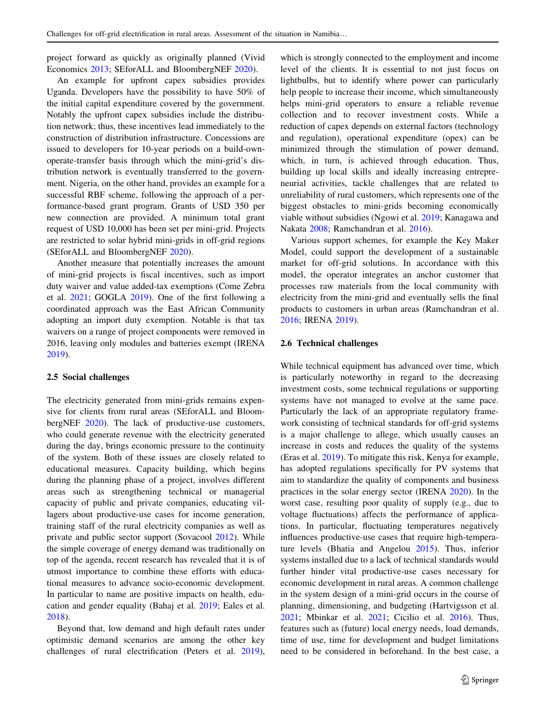project forward as quickly as originally planned (Vivid Economics [2013;](#page-15-0) SEforALL and BloombergNEF [2020\)](#page-15-0).

An example for upfront capex subsidies provides Uganda. Developers have the possibility to have 50% of the initial capital expenditure covered by the government. Notably the upfront capex subsidies include the distribution network; thus, these incentives lead immediately to the construction of distribution infrastructure. Concessions are issued to developers for 10-year periods on a build-ownoperate-transfer basis through which the mini-grid's distribution network is eventually transferred to the government. Nigeria, on the other hand, provides an example for a successful RBF scheme, following the approach of a performance-based grant program. Grants of USD 350 per new connection are provided. A minimum total grant request of USD 10,000 has been set per mini-grid. Projects are restricted to solar hybrid mini-grids in off-grid regions (SEforALL and BloombergNEF [2020](#page-15-0)).

Another measure that potentially increases the amount of mini-grid projects is fiscal incentives, such as import duty waiver and value added-tax exemptions (Come Zebra et al. [2021](#page-14-0); GOGLA [2019](#page-14-0)). One of the first following a coordinated approach was the East African Community adopting an import duty exemption. Notable is that tax waivers on a range of project components were removed in 2016, leaving only modules and batteries exempt (IRENA [2019\)](#page-14-0).

#### 2.5 Social challenges

The electricity generated from mini-grids remains expensive for clients from rural areas (SEforALL and BloombergNEF [2020\)](#page-15-0). The lack of productive-use customers, who could generate revenue with the electricity generated during the day, brings economic pressure to the continuity of the system. Both of these issues are closely related to educational measures. Capacity building, which begins during the planning phase of a project, involves different areas such as strengthening technical or managerial capacity of public and private companies, educating villagers about productive-use cases for income generation, training staff of the rural electricity companies as well as private and public sector support (Sovacool [2012](#page-15-0)). While the simple coverage of energy demand was traditionally on top of the agenda, recent research has revealed that it is of utmost importance to combine these efforts with educational measures to advance socio-economic development. In particular to name are positive impacts on health, education and gender equality (Bahaj et al. [2019](#page-13-0); Eales et al. [2018\)](#page-14-0).

Beyond that, low demand and high default rates under optimistic demand scenarios are among the other key challenges of rural electrification (Peters et al. [2019](#page-15-0)), which is strongly connected to the employment and income level of the clients. It is essential to not just focus on lightbulbs, but to identify where power can particularly help people to increase their income, which simultaneously helps mini-grid operators to ensure a reliable revenue collection and to recover investment costs. While a reduction of capex depends on external factors (technology and regulation), operational expenditure (opex) can be minimized through the stimulation of power demand, which, in turn, is achieved through education. Thus, building up local skills and ideally increasing entrepreneurial activities, tackle challenges that are related to unreliability of rural customers, which represents one of the biggest obstacles to mini-grids becoming economically viable without subsidies (Ngowi et al. [2019;](#page-15-0) Kanagawa and Nakata [2008;](#page-14-0) Ramchandran et al. [2016\)](#page-15-0).

Various support schemes, for example the Key Maker Model, could support the development of a sustainable market for off-grid solutions. In accordance with this model, the operator integrates an anchor customer that processes raw materials from the local community with electricity from the mini-grid and eventually sells the final products to customers in urban areas (Ramchandran et al. [2016](#page-15-0); IRENA [2019\)](#page-14-0).

## 2.6 Technical challenges

While technical equipment has advanced over time, which is particularly noteworthy in regard to the decreasing investment costs, some technical regulations or supporting systems have not managed to evolve at the same pace. Particularly the lack of an appropriate regulatory framework consisting of technical standards for off-grid systems is a major challenge to allege, which usually causes an increase in costs and reduces the quality of the systems (Eras et al. [2019](#page-14-0)). To mitigate this risk, Kenya for example, has adopted regulations specifically for PV systems that aim to standardize the quality of components and business practices in the solar energy sector (IRENA [2020\)](#page-14-0). In the worst case, resulting poor quality of supply (e.g., due to voltage fluctuations) affects the performance of applications. In particular, fluctuating temperatures negatively influences productive-use cases that require high-temperature levels (Bhatia and Angelou [2015\)](#page-13-0). Thus, inferior systems installed due to a lack of technical standards would further hinder vital productive-use cases necessary for economic development in rural areas. A common challenge in the system design of a mini-grid occurs in the course of planning, dimensioning, and budgeting (Hartvigsson et al. [2021](#page-14-0); Mbinkar et al. [2021;](#page-15-0) Cicilio et al. [2016\)](#page-14-0). Thus, features such as (future) local energy needs, load demands, time of use, time for development and budget limitations need to be considered in beforehand. In the best case, a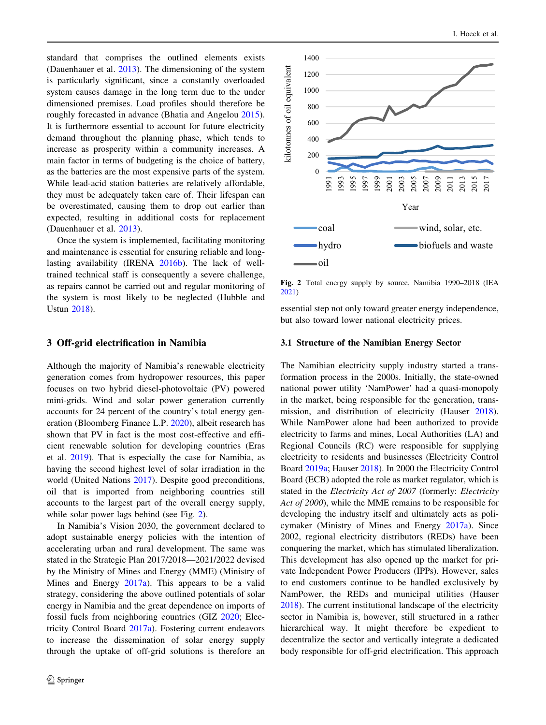standard that comprises the outlined elements exists (Dauenhauer et al. [2013](#page-14-0)). The dimensioning of the system is particularly significant, since a constantly overloaded system causes damage in the long term due to the under dimensioned premises. Load profiles should therefore be roughly forecasted in advance (Bhatia and Angelou [2015](#page-13-0)). It is furthermore essential to account for future electricity demand throughout the planning phase, which tends to increase as prosperity within a community increases. A main factor in terms of budgeting is the choice of battery, as the batteries are the most expensive parts of the system. While lead-acid station batteries are relatively affordable, they must be adequately taken care of. Their lifespan can be overestimated, causing them to drop out earlier than expected, resulting in additional costs for replacement (Dauenhauer et al. [2013\)](#page-14-0).

Once the system is implemented, facilitating monitoring and maintenance is essential for ensuring reliable and longlasting availability (IRENA [2016b\)](#page-14-0). The lack of welltrained technical staff is consequently a severe challenge, as repairs cannot be carried out and regular monitoring of the system is most likely to be neglected (Hubble and Ustun [2018](#page-14-0)).

#### 3 Off-grid electrification in Namibia

Although the majority of Namibia's renewable electricity generation comes from hydropower resources, this paper focuses on two hybrid diesel-photovoltaic (PV) powered mini-grids. Wind and solar power generation currently accounts for 24 percent of the country's total energy generation (Bloomberg Finance L.P. [2020](#page-13-0)), albeit research has shown that PV in fact is the most cost-effective and efficient renewable solution for developing countries (Eras et al. [2019\)](#page-14-0). That is especially the case for Namibia, as having the second highest level of solar irradiation in the world (United Nations [2017\)](#page-15-0). Despite good preconditions, oil that is imported from neighboring countries still accounts to the largest part of the overall energy supply, while solar power lags behind (see Fig. 2).

In Namibia's Vision 2030, the government declared to adopt sustainable energy policies with the intention of accelerating urban and rural development. The same was stated in the Strategic Plan 2017/2018—2021/2022 devised by the Ministry of Mines and Energy (MME) (Ministry of Mines and Energy [2017a](#page-15-0)). This appears to be a valid strategy, considering the above outlined potentials of solar energy in Namibia and the great dependence on imports of fossil fuels from neighboring countries (GIZ [2020](#page-14-0); Electricity Control Board [2017a\)](#page-14-0). Fostering current endeavors to increase the dissemination of solar energy supply through the uptake of off-grid solutions is therefore an



Fig. 2 Total energy supply by source, Namibia 1990–2018 (IEA [2021](#page-14-0))

essential step not only toward greater energy independence, but also toward lower national electricity prices.

#### 3.1 Structure of the Namibian Energy Sector

The Namibian electricity supply industry started a transformation process in the 2000s. Initially, the state-owned national power utility 'NamPower' had a quasi-monopoly in the market, being responsible for the generation, transmission, and distribution of electricity (Hauser [2018](#page-14-0)). While NamPower alone had been authorized to provide electricity to farms and mines, Local Authorities (LA) and Regional Councils (RC) were responsible for supplying electricity to residents and businesses (Electricity Control Board [2019a](#page-14-0); Hauser [2018](#page-14-0)). In 2000 the Electricity Control Board (ECB) adopted the role as market regulator, which is stated in the Electricity Act of 2007 (formerly: Electricity Act of 2000), while the MME remains to be responsible for developing the industry itself and ultimately acts as policymaker (Ministry of Mines and Energy [2017a\)](#page-15-0). Since 2002, regional electricity distributors (REDs) have been conquering the market, which has stimulated liberalization. This development has also opened up the market for private Independent Power Producers (IPPs). However, sales to end customers continue to be handled exclusively by NamPower, the REDs and municipal utilities (Hauser [2018](#page-14-0)). The current institutional landscape of the electricity sector in Namibia is, however, still structured in a rather hierarchical way. It might therefore be expedient to decentralize the sector and vertically integrate a dedicated body responsible for off-grid electrification. This approach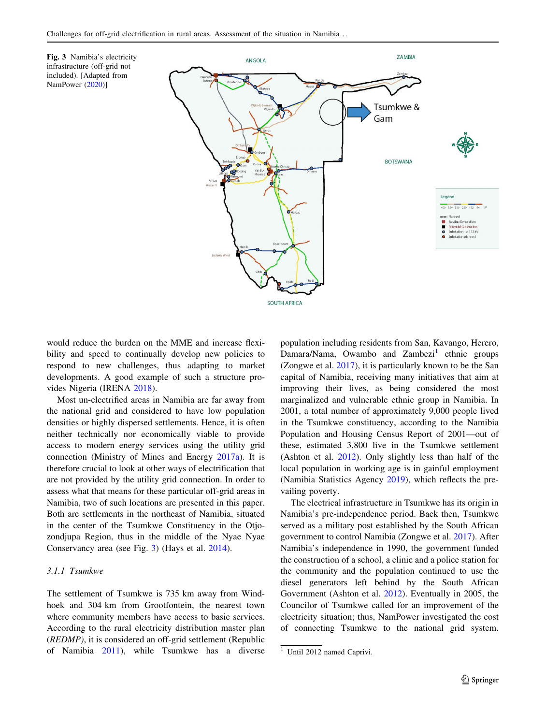<span id="page-7-0"></span>



would reduce the burden on the MME and increase flexibility and speed to continually develop new policies to respond to new challenges, thus adapting to market developments. A good example of such a structure provides Nigeria (IRENA [2018\)](#page-14-0).

Most un-electrified areas in Namibia are far away from the national grid and considered to have low population densities or highly dispersed settlements. Hence, it is often neither technically nor economically viable to provide access to modern energy services using the utility grid connection (Ministry of Mines and Energy [2017a](#page-15-0)). It is therefore crucial to look at other ways of electrification that are not provided by the utility grid connection. In order to assess what that means for these particular off-grid areas in Namibia, two of such locations are presented in this paper. Both are settlements in the northeast of Namibia, situated in the center of the Tsumkwe Constituency in the Otjozondjupa Region, thus in the middle of the Nyae Nyae Conservancy area (see Fig. 3) (Hays et al. [2014\)](#page-14-0).

## 3.1.1 Tsumkwe

The settlement of Tsumkwe is 735 km away from Windhoek and 304 km from Grootfontein, the nearest town where community members have access to basic services. According to the rural electricity distribution master plan (REDMP), it is considered an off-grid settlement (Republic of Namibia [2011](#page-15-0)), while Tsumkwe has a diverse population including residents from San, Kavango, Herero, Damara/Nama, Owambo and  $Zambezi<sup>1</sup>$  ethnic groups (Zongwe et al. [2017](#page-15-0)), it is particularly known to be the San capital of Namibia, receiving many initiatives that aim at improving their lives, as being considered the most marginalized and vulnerable ethnic group in Namibia. In 2001, a total number of approximately 9,000 people lived in the Tsumkwe constituency, according to the Namibia Population and Housing Census Report of 2001—out of these, estimated 3,800 live in the Tsumkwe settlement (Ashton et al. [2012\)](#page-13-0). Only slightly less than half of the local population in working age is in gainful employment (Namibia Statistics Agency [2019](#page-15-0)), which reflects the prevailing poverty.

The electrical infrastructure in Tsumkwe has its origin in Namibia's pre-independence period. Back then, Tsumkwe served as a military post established by the South African government to control Namibia (Zongwe et al. [2017\)](#page-15-0). After Namibia's independence in 1990, the government funded the construction of a school, a clinic and a police station for the community and the population continued to use the diesel generators left behind by the South African Government (Ashton et al. [2012\)](#page-13-0). Eventually in 2005, the Councilor of Tsumkwe called for an improvement of the electricity situation; thus, NamPower investigated the cost of connecting Tsumkwe to the national grid system.

<sup>&</sup>lt;sup>1</sup> Until 2012 named Caprivi.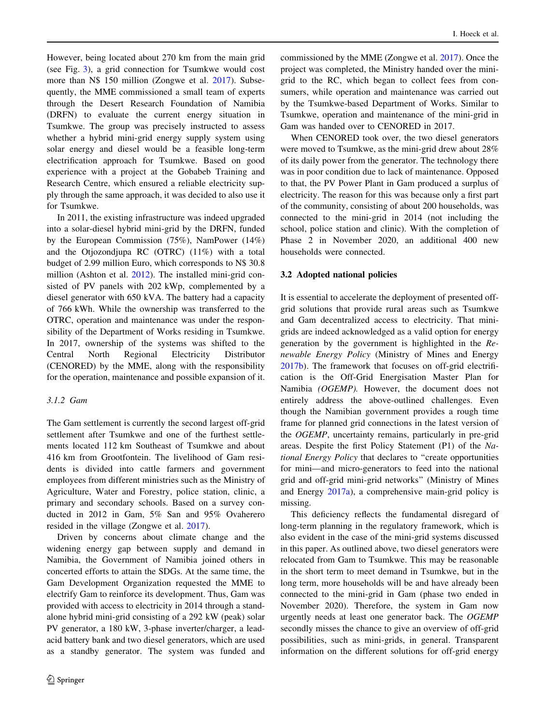However, being located about 270 km from the main grid (see Fig. [3\)](#page-7-0), a grid connection for Tsumkwe would cost more than N\$ 150 million (Zongwe et al. [2017\)](#page-15-0). Subsequently, the MME commissioned a small team of experts through the Desert Research Foundation of Namibia (DRFN) to evaluate the current energy situation in Tsumkwe. The group was precisely instructed to assess whether a hybrid mini-grid energy supply system using solar energy and diesel would be a feasible long-term electrification approach for Tsumkwe. Based on good experience with a project at the Gobabeb Training and Research Centre, which ensured a reliable electricity supply through the same approach, it was decided to also use it for Tsumkwe.

In 2011, the existing infrastructure was indeed upgraded into a solar-diesel hybrid mini-grid by the DRFN, funded by the European Commission (75%), NamPower (14%) and the Otjozondjupa RC (OTRC) (11%) with a total budget of 2.99 million Euro, which corresponds to N\$ 30.8 million (Ashton et al. [2012\)](#page-13-0). The installed mini-grid consisted of PV panels with 202 kWp, complemented by a diesel generator with 650 kVA. The battery had a capacity of 766 kWh. While the ownership was transferred to the OTRC, operation and maintenance was under the responsibility of the Department of Works residing in Tsumkwe. In 2017, ownership of the systems was shifted to the Central North Regional Electricity Distributor (CENORED) by the MME, along with the responsibility for the operation, maintenance and possible expansion of it.

## 3.1.2 Gam

The Gam settlement is currently the second largest off-grid settlement after Tsumkwe and one of the furthest settlements located 112 km Southeast of Tsumkwe and about 416 km from Grootfontein. The livelihood of Gam residents is divided into cattle farmers and government employees from different ministries such as the Ministry of Agriculture, Water and Forestry, police station, clinic, a primary and secondary schools. Based on a survey conducted in 2012 in Gam, 5% San and 95% Ovaherero resided in the village (Zongwe et al. [2017\)](#page-15-0).

Driven by concerns about climate change and the widening energy gap between supply and demand in Namibia, the Government of Namibia joined others in concerted efforts to attain the SDGs. At the same time, the Gam Development Organization requested the MME to electrify Gam to reinforce its development. Thus, Gam was provided with access to electricity in 2014 through a standalone hybrid mini-grid consisting of a 292 kW (peak) solar PV generator, a 180 kW, 3-phase inverter/charger, a leadacid battery bank and two diesel generators, which are used as a standby generator. The system was funded and commissioned by the MME (Zongwe et al. [2017](#page-15-0)). Once the project was completed, the Ministry handed over the minigrid to the RC, which began to collect fees from consumers, while operation and maintenance was carried out by the Tsumkwe-based Department of Works. Similar to Tsumkwe, operation and maintenance of the mini-grid in Gam was handed over to CENORED in 2017.

When CENORED took over, the two diesel generators were moved to Tsumkwe, as the mini-grid drew about 28% of its daily power from the generator. The technology there was in poor condition due to lack of maintenance. Opposed to that, the PV Power Plant in Gam produced a surplus of electricity. The reason for this was because only a first part of the community, consisting of about 200 households, was connected to the mini-grid in 2014 (not including the school, police station and clinic). With the completion of Phase 2 in November 2020, an additional 400 new households were connected.

#### 3.2 Adopted national policies

It is essential to accelerate the deployment of presented offgrid solutions that provide rural areas such as Tsumkwe and Gam decentralized access to electricity. That minigrids are indeed acknowledged as a valid option for energy generation by the government is highlighted in the Renewable Energy Policy (Ministry of Mines and Energy [2017b](#page-15-0)). The framework that focuses on off-grid electrification is the Off-Grid Energisation Master Plan for Namibia (OGEMP). However, the document does not entirely address the above-outlined challenges. Even though the Namibian government provides a rough time frame for planned grid connections in the latest version of the OGEMP, uncertainty remains, particularly in pre-grid areas. Despite the first Policy Statement (P1) of the National Energy Policy that declares to ''create opportunities for mini—and micro-generators to feed into the national grid and off-grid mini-grid networks'' (Ministry of Mines and Energy [2017a\)](#page-15-0), a comprehensive main-grid policy is missing.

This deficiency reflects the fundamental disregard of long-term planning in the regulatory framework, which is also evident in the case of the mini-grid systems discussed in this paper. As outlined above, two diesel generators were relocated from Gam to Tsumkwe. This may be reasonable in the short term to meet demand in Tsumkwe, but in the long term, more households will be and have already been connected to the mini-grid in Gam (phase two ended in November 2020). Therefore, the system in Gam now urgently needs at least one generator back. The OGEMP secondly misses the chance to give an overview of off-grid possibilities, such as mini-grids, in general. Transparent information on the different solutions for off-grid energy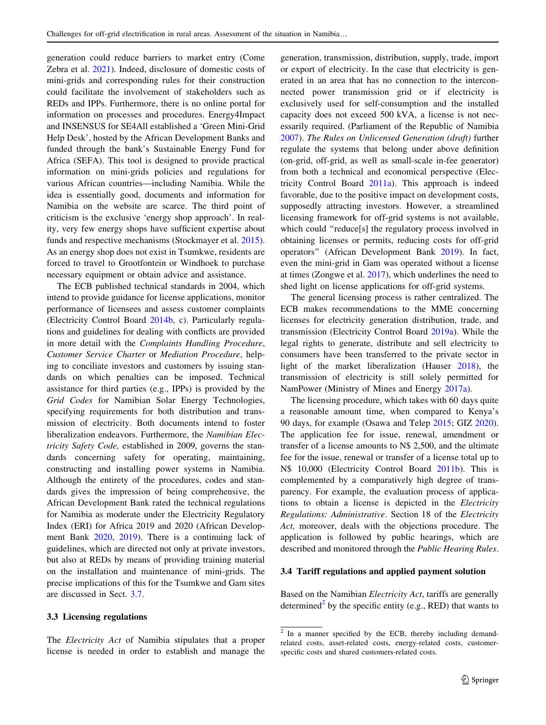generation could reduce barriers to market entry (Come Zebra et al. [2021](#page-14-0)). Indeed, disclosure of domestic costs of mini-grids and corresponding rules for their construction could facilitate the involvement of stakeholders such as REDs and IPPs. Furthermore, there is no online portal for information on processes and procedures. Energy4Impact and INSENSUS for SE4All established a 'Green Mini-Grid Help Desk', hosted by the African Development Banks and funded through the bank's Sustainable Energy Fund for Africa (SEFA). This tool is designed to provide practical information on mini-grids policies and regulations for various African countries—including Namibia. While the idea is essentially good, documents and information for Namibia on the website are scarce. The third point of criticism is the exclusive 'energy shop approach'. In reality, very few energy shops have sufficient expertise about funds and respective mechanisms (Stockmayer et al. [2015](#page-15-0)). As an energy shop does not exist in Tsumkwe, residents are forced to travel to Grootfontein or Windhoek to purchase necessary equipment or obtain advice and assistance.

The ECB published technical standards in 2004, which intend to provide guidance for license applications, monitor performance of licensees and assess customer complaints (Electricity Control Board [2014b,](#page-14-0) [c\)](#page-14-0). Particularly regulations and guidelines for dealing with conflicts are provided in more detail with the Complaints Handling Procedure, Customer Service Charter or Mediation Procedure, helping to conciliate investors and customers by issuing standards on which penalties can be imposed. Technical assistance for third parties (e.g., IPPs) is provided by the Grid Codes for Namibian Solar Energy Technologies, specifying requirements for both distribution and transmission of electricity. Both documents intend to foster liberalization endeavors. Furthermore, the Namibian Electricity Safety Code, established in 2009, governs the standards concerning safety for operating, maintaining, constructing and installing power systems in Namibia. Although the entirety of the procedures, codes and standards gives the impression of being comprehensive, the African Development Bank rated the technical regulations for Namibia as moderate under the Electricity Regulatory Index (ERI) for Africa 2019 and 2020 (African Development Bank [2020](#page-13-0), [2019](#page-13-0)). There is a continuing lack of guidelines, which are directed not only at private investors, but also at REDs by means of providing training material on the installation and maintenance of mini-grids. The precise implications of this for the Tsumkwe and Gam sites are discussed in Sect. [3.7.](#page-12-0)

## 3.3 Licensing regulations

The *Electricity Act* of Namibia stipulates that a proper license is needed in order to establish and manage the generation, transmission, distribution, supply, trade, import or export of electricity. In the case that electricity is generated in an area that has no connection to the interconnected power transmission grid or if electricity is exclusively used for self-consumption and the installed capacity does not exceed 500 kVA, a license is not necessarily required. (Parliament of the Republic of Namibia [2007](#page-15-0)). The Rules on Unlicensed Generation (draft) further regulate the systems that belong under above definition (on-grid, off-grid, as well as small-scale in-fee generator) from both a technical and economical perspective (Electricity Control Board [2011a](#page-14-0)). This approach is indeed favorable, due to the positive impact on development costs, supposedly attracting investors. However, a streamlined licensing framework for off-grid systems is not available, which could ''reduce[s] the regulatory process involved in obtaining licenses or permits, reducing costs for off-grid operators'' (African Development Bank [2019\)](#page-13-0). In fact, even the mini-grid in Gam was operated without a license at times (Zongwe et al. [2017\)](#page-15-0), which underlines the need to shed light on license applications for off-grid systems.

The general licensing process is rather centralized. The ECB makes recommendations to the MME concerning licenses for electricity generation distribution, trade, and transmission (Electricity Control Board [2019a\)](#page-14-0). While the legal rights to generate, distribute and sell electricity to consumers have been transferred to the private sector in light of the market liberalization (Hauser [2018](#page-14-0)), the transmission of electricity is still solely permitted for NamPower (Ministry of Mines and Energy [2017a\)](#page-15-0).

The licensing procedure, which takes with 60 days quite a reasonable amount time, when compared to Kenya's 90 days, for example (Osawa and Telep [2015;](#page-15-0) GIZ [2020](#page-14-0)). The application fee for issue, renewal, amendment or transfer of a license amounts to N\$ 2,500, and the ultimate fee for the issue, renewal or transfer of a license total up to N\$ 10,000 (Electricity Control Board [2011b\)](#page-14-0). This is complemented by a comparatively high degree of transparency. For example, the evaluation process of applications to obtain a license is depicted in the Electricity Regulations: Administrative. Section 18 of the Electricity Act, moreover, deals with the objections procedure. The application is followed by public hearings, which are described and monitored through the Public Hearing Rules.

#### 3.4 Tariff regulations and applied payment solution

Based on the Namibian Electricity Act, tariffs are generally determined<sup>2</sup> by the specific entity (e.g., RED) that wants to

<sup>&</sup>lt;sup>2</sup> In a manner specified by the ECB, thereby including demandrelated costs, asset-related costs, energy-related costs, customerspecific costs and shared customers-related costs.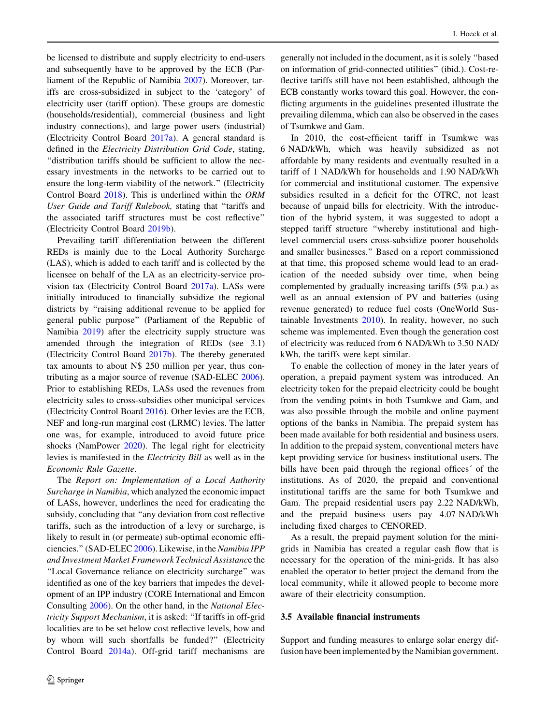be licensed to distribute and supply electricity to end-users and subsequently have to be approved by the ECB (Parliament of the Republic of Namibia [2007\)](#page-15-0). Moreover, tariffs are cross-subsidized in subject to the 'category' of electricity user (tariff option). These groups are domestic (households/residential), commercial (business and light industry connections), and large power users (industrial) (Electricity Control Board [2017a\)](#page-14-0). A general standard is defined in the Electricity Distribution Grid Code, stating, ''distribution tariffs should be sufficient to allow the necessary investments in the networks to be carried out to ensure the long-term viability of the network.'' (Electricity Control Board [2018\)](#page-14-0). This is underlined within the ORM User Guide and Tariff Rulebook, stating that ''tariffs and the associated tariff structures must be cost reflective'' (Electricity Control Board [2019b](#page-14-0)).

Prevailing tariff differentiation between the different REDs is mainly due to the Local Authority Surcharge (LAS), which is added to each tariff and is collected by the licensee on behalf of the LA as an electricity-service provision tax (Electricity Control Board [2017a\)](#page-14-0). LASs were initially introduced to financially subsidize the regional districts by ''raising additional revenue to be applied for general public purpose'' (Parliament of the Republic of Namibia [2019](#page-15-0)) after the electricity supply structure was amended through the integration of REDs (see 3.1) (Electricity Control Board [2017b](#page-14-0)). The thereby generated tax amounts to about N\$ 250 million per year, thus contributing as a major source of revenue (SAD-ELEC [2006](#page-15-0)). Prior to establishing REDs, LASs used the revenues from electricity sales to cross-subsidies other municipal services (Electricity Control Board [2016\)](#page-14-0). Other levies are the ECB, NEF and long-run marginal cost (LRMC) levies. The latter one was, for example, introduced to avoid future price shocks (NamPower [2020](#page-15-0)). The legal right for electricity levies is manifested in the Electricity Bill as well as in the Economic Rule Gazette.

The Report on: Implementation of a Local Authority Surcharge in Namibia, which analyzed the economic impact of LASs, however, underlines the need for eradicating the subsidy, concluding that ''any deviation from cost reflective tariffs, such as the introduction of a levy or surcharge, is likely to result in (or permeate) sub-optimal economic effi-ciencies." (SAD-ELEC [2006](#page-15-0)). Likewise, in the Namibia IPP and Investment Market Framework Technical Assistance the ''Local Governance reliance on electricity surcharge'' was identified as one of the key barriers that impedes the development of an IPP industry (CORE International and Emcon Consulting [2006\)](#page-14-0). On the other hand, in the National Electricity Support Mechanism, it is asked: ''If tariffs in off-grid localities are to be set below cost reflective levels, how and by whom will such shortfalls be funded?'' (Electricity Control Board [2014a](#page-14-0)). Off-grid tariff mechanisms are generally not included in the document, as it is solely ''based on information of grid-connected utilities'' (ibid.). Cost-reflective tariffs still have not been established, although the ECB constantly works toward this goal. However, the conflicting arguments in the guidelines presented illustrate the prevailing dilemma, which can also be observed in the cases of Tsumkwe and Gam.

In 2010, the cost-efficient tariff in Tsumkwe was 6 NAD/kWh, which was heavily subsidized as not affordable by many residents and eventually resulted in a tariff of 1 NAD/kWh for households and 1.90 NAD/kWh for commercial and institutional customer. The expensive subsidies resulted in a deficit for the OTRC, not least because of unpaid bills for electricity. With the introduction of the hybrid system, it was suggested to adopt a stepped tariff structure ''whereby institutional and highlevel commercial users cross-subsidize poorer households and smaller businesses.'' Based on a report commissioned at that time, this proposed scheme would lead to an eradication of the needed subsidy over time, when being complemented by gradually increasing tariffs (5% p.a.) as well as an annual extension of PV and batteries (using revenue generated) to reduce fuel costs (OneWorld Sustainable Investments [2010\)](#page-15-0). In reality, however, no such scheme was implemented. Even though the generation cost of electricity was reduced from 6 NAD/kWh to 3.50 NAD/ kWh, the tariffs were kept similar.

To enable the collection of money in the later years of operation, a prepaid payment system was introduced. An electricity token for the prepaid electricity could be bought from the vending points in both Tsumkwe and Gam, and was also possible through the mobile and online payment options of the banks in Namibia. The prepaid system has been made available for both residential and business users. In addition to the prepaid system, conventional meters have kept providing service for business institutional users. The bills have been paid through the regional offices' of the institutions. As of 2020, the prepaid and conventional institutional tariffs are the same for both Tsumkwe and Gam. The prepaid residential users pay 2.22 NAD/kWh, and the prepaid business users pay 4.07 NAD/kWh including fixed charges to CENORED.

As a result, the prepaid payment solution for the minigrids in Namibia has created a regular cash flow that is necessary for the operation of the mini-grids. It has also enabled the operator to better project the demand from the local community, while it allowed people to become more aware of their electricity consumption.

## 3.5 Available financial instruments

Support and funding measures to enlarge solar energy diffusion have been implemented by the Namibian government.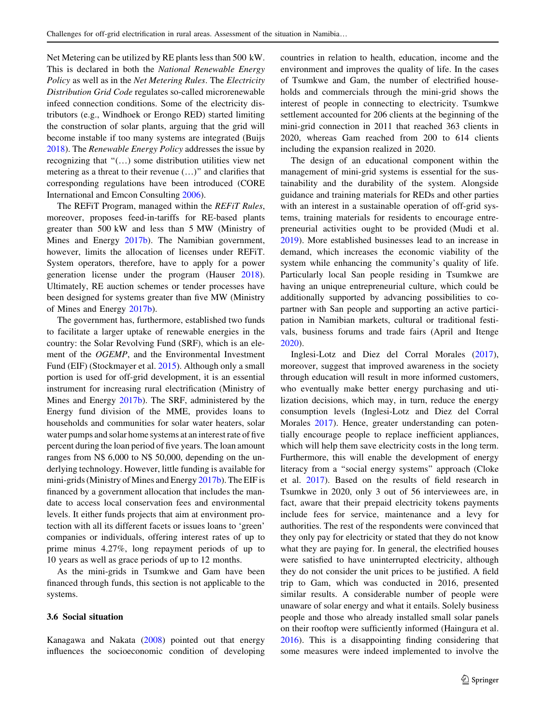Net Metering can be utilized by RE plants less than 500 kW. This is declared in both the National Renewable Energy Policy as well as in the Net Metering Rules. The Electricity Distribution Grid Code regulates so-called microrenewable infeed connection conditions. Some of the electricity distributors (e.g., Windhoek or Erongo RED) started limiting the construction of solar plants, arguing that the grid will become instable if too many systems are integrated (Buijs [2018\)](#page-14-0). The Renewable Energy Policy addresses the issue by recognizing that  $\cdot$  (...) some distribution utilities view net metering as a threat to their revenue  $(...)$ " and clarifies that corresponding regulations have been introduced (CORE International and Emcon Consulting [2006\)](#page-14-0).

The REFiT Program, managed within the REFiT Rules, moreover, proposes feed-in-tariffs for RE-based plants greater than 500 kW and less than 5 MW (Ministry of Mines and Energy [2017b](#page-15-0)). The Namibian government, however, limits the allocation of licenses under REFiT. System operators, therefore, have to apply for a power generation license under the program (Hauser [2018](#page-14-0)). Ultimately, RE auction schemes or tender processes have been designed for systems greater than five MW (Ministry of Mines and Energy [2017b\)](#page-15-0).

The government has, furthermore, established two funds to facilitate a larger uptake of renewable energies in the country: the Solar Revolving Fund (SRF), which is an element of the OGEMP, and the Environmental Investment Fund (EIF) (Stockmayer et al. [2015\)](#page-15-0). Although only a small portion is used for off-grid development, it is an essential instrument for increasing rural electrification (Ministry of Mines and Energy [2017b](#page-15-0)). The SRF, administered by the Energy fund division of the MME, provides loans to households and communities for solar water heaters, solar water pumps and solar home systems at an interest rate of five percent during the loan period of five years. The loan amount ranges from N\$ 6,000 to N\$ 50,000, depending on the underlying technology. However, little funding is available for mini-grids (Ministry of Mines and Energy [2017b](#page-15-0)). The EIF is financed by a government allocation that includes the mandate to access local conservation fees and environmental levels. It either funds projects that aim at environment protection with all its different facets or issues loans to 'green' companies or individuals, offering interest rates of up to prime minus 4.27%, long repayment periods of up to 10 years as well as grace periods of up to 12 months.

As the mini-grids in Tsumkwe and Gam have been financed through funds, this section is not applicable to the systems.

## 3.6 Social situation

Kanagawa and Nakata [\(2008](#page-14-0)) pointed out that energy influences the socioeconomic condition of developing countries in relation to health, education, income and the environment and improves the quality of life. In the cases of Tsumkwe and Gam, the number of electrified households and commercials through the mini-grid shows the interest of people in connecting to electricity. Tsumkwe settlement accounted for 206 clients at the beginning of the mini-grid connection in 2011 that reached 363 clients in 2020, whereas Gam reached from 200 to 614 clients including the expansion realized in 2020.

The design of an educational component within the management of mini-grid systems is essential for the sustainability and the durability of the system. Alongside guidance and training materials for REDs and other parties with an interest in a sustainable operation of off-grid systems, training materials for residents to encourage entrepreneurial activities ought to be provided (Mudi et al. [2019](#page-15-0)). More established businesses lead to an increase in demand, which increases the economic viability of the system while enhancing the community's quality of life. Particularly local San people residing in Tsumkwe are having an unique entrepreneurial culture, which could be additionally supported by advancing possibilities to copartner with San people and supporting an active participation in Namibian markets, cultural or traditional festivals, business forums and trade fairs (April and Itenge [2020](#page-13-0)).

Inglesi-Lotz and Diez del Corral Morales [\(2017](#page-14-0)), moreover, suggest that improved awareness in the society through education will result in more informed customers, who eventually make better energy purchasing and utilization decisions, which may, in turn, reduce the energy consumption levels (Inglesi-Lotz and Diez del Corral Morales [2017](#page-14-0)). Hence, greater understanding can potentially encourage people to replace inefficient appliances, which will help them save electricity costs in the long term. Furthermore, this will enable the development of energy literacy from a ''social energy systems'' approach (Cloke et al. [2017](#page-14-0)). Based on the results of field research in Tsumkwe in 2020, only 3 out of 56 interviewees are, in fact, aware that their prepaid electricity tokens payments include fees for service, maintenance and a levy for authorities. The rest of the respondents were convinced that they only pay for electricity or stated that they do not know what they are paying for. In general, the electrified houses were satisfied to have uninterrupted electricity, although they do not consider the unit prices to be justified. A field trip to Gam, which was conducted in 2016, presented similar results. A considerable number of people were unaware of solar energy and what it entails. Solely business people and those who already installed small solar panels on their rooftop were sufficiently informed (Haingura et al. [2016](#page-14-0)). This is a disappointing finding considering that some measures were indeed implemented to involve the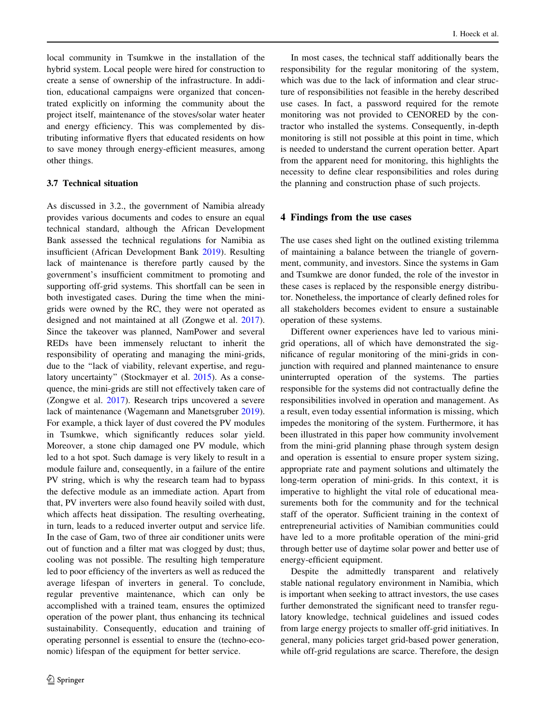<span id="page-12-0"></span>local community in Tsumkwe in the installation of the hybrid system. Local people were hired for construction to create a sense of ownership of the infrastructure. In addition, educational campaigns were organized that concentrated explicitly on informing the community about the project itself, maintenance of the stoves/solar water heater and energy efficiency. This was complemented by distributing informative flyers that educated residents on how to save money through energy-efficient measures, among other things.

#### 3.7 Technical situation

As discussed in 3.2., the government of Namibia already provides various documents and codes to ensure an equal technical standard, although the African Development Bank assessed the technical regulations for Namibia as insufficient (African Development Bank [2019\)](#page-13-0). Resulting lack of maintenance is therefore partly caused by the government's insufficient commitment to promoting and supporting off-grid systems. This shortfall can be seen in both investigated cases. During the time when the minigrids were owned by the RC, they were not operated as designed and not maintained at all (Zongwe et al. [2017](#page-15-0)). Since the takeover was planned, NamPower and several REDs have been immensely reluctant to inherit the responsibility of operating and managing the mini-grids, due to the ''lack of viability, relevant expertise, and regulatory uncertainty'' (Stockmayer et al. [2015](#page-15-0)). As a consequence, the mini-grids are still not effectively taken care of (Zongwe et al. [2017](#page-15-0)). Research trips uncovered a severe lack of maintenance (Wagemann and Manetsgruber [2019](#page-15-0)). For example, a thick layer of dust covered the PV modules in Tsumkwe, which significantly reduces solar yield. Moreover, a stone chip damaged one PV module, which led to a hot spot. Such damage is very likely to result in a module failure and, consequently, in a failure of the entire PV string, which is why the research team had to bypass the defective module as an immediate action. Apart from that, PV inverters were also found heavily soiled with dust, which affects heat dissipation. The resulting overheating, in turn, leads to a reduced inverter output and service life. In the case of Gam, two of three air conditioner units were out of function and a filter mat was clogged by dust; thus, cooling was not possible. The resulting high temperature led to poor efficiency of the inverters as well as reduced the average lifespan of inverters in general. To conclude, regular preventive maintenance, which can only be accomplished with a trained team, ensures the optimized operation of the power plant, thus enhancing its technical sustainability. Consequently, education and training of operating personnel is essential to ensure the (techno-economic) lifespan of the equipment for better service.

In most cases, the technical staff additionally bears the responsibility for the regular monitoring of the system, which was due to the lack of information and clear structure of responsibilities not feasible in the hereby described use cases. In fact, a password required for the remote monitoring was not provided to CENORED by the contractor who installed the systems. Consequently, in-depth monitoring is still not possible at this point in time, which is needed to understand the current operation better. Apart from the apparent need for monitoring, this highlights the necessity to define clear responsibilities and roles during the planning and construction phase of such projects.

#### 4 Findings from the use cases

The use cases shed light on the outlined existing trilemma of maintaining a balance between the triangle of government, community, and investors. Since the systems in Gam and Tsumkwe are donor funded, the role of the investor in these cases is replaced by the responsible energy distributor. Nonetheless, the importance of clearly defined roles for all stakeholders becomes evident to ensure a sustainable operation of these systems.

Different owner experiences have led to various minigrid operations, all of which have demonstrated the significance of regular monitoring of the mini-grids in conjunction with required and planned maintenance to ensure uninterrupted operation of the systems. The parties responsible for the systems did not contractually define the responsibilities involved in operation and management. As a result, even today essential information is missing, which impedes the monitoring of the system. Furthermore, it has been illustrated in this paper how community involvement from the mini-grid planning phase through system design and operation is essential to ensure proper system sizing, appropriate rate and payment solutions and ultimately the long-term operation of mini-grids. In this context, it is imperative to highlight the vital role of educational measurements both for the community and for the technical staff of the operator. Sufficient training in the context of entrepreneurial activities of Namibian communities could have led to a more profitable operation of the mini-grid through better use of daytime solar power and better use of energy-efficient equipment.

Despite the admittedly transparent and relatively stable national regulatory environment in Namibia, which is important when seeking to attract investors, the use cases further demonstrated the significant need to transfer regulatory knowledge, technical guidelines and issued codes from large energy projects to smaller off-grid initiatives. In general, many policies target grid-based power generation, while off-grid regulations are scarce. Therefore, the design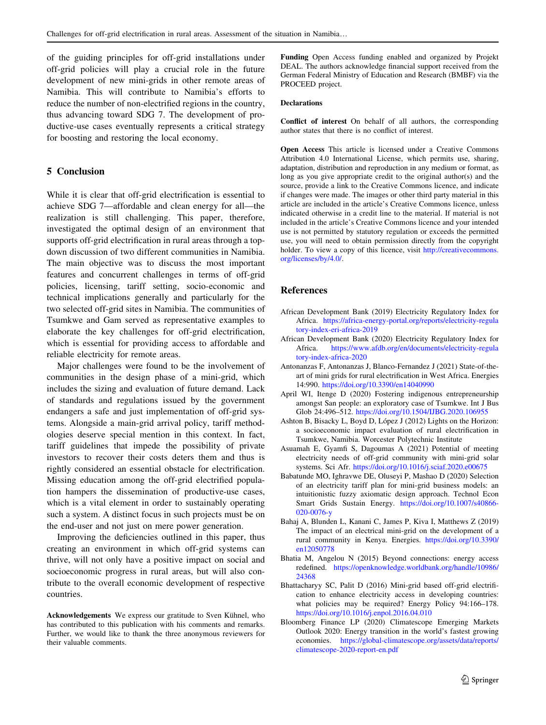<span id="page-13-0"></span>of the guiding principles for off-grid installations under off-grid policies will play a crucial role in the future development of new mini-grids in other remote areas of Namibia. This will contribute to Namibia's efforts to reduce the number of non-electrified regions in the country, thus advancing toward SDG 7. The development of productive-use cases eventually represents a critical strategy for boosting and restoring the local economy.

## 5 Conclusion

While it is clear that off-grid electrification is essential to achieve SDG 7—affordable and clean energy for all—the realization is still challenging. This paper, therefore, investigated the optimal design of an environment that supports off-grid electrification in rural areas through a topdown discussion of two different communities in Namibia. The main objective was to discuss the most important features and concurrent challenges in terms of off-grid policies, licensing, tariff setting, socio-economic and technical implications generally and particularly for the two selected off-grid sites in Namibia. The communities of Tsumkwe and Gam served as representative examples to elaborate the key challenges for off-grid electrification, which is essential for providing access to affordable and reliable electricity for remote areas.

Major challenges were found to be the involvement of communities in the design phase of a mini-grid, which includes the sizing and evaluation of future demand. Lack of standards and regulations issued by the government endangers a safe and just implementation of off-grid systems. Alongside a main-grid arrival policy, tariff methodologies deserve special mention in this context. In fact, tariff guidelines that impede the possibility of private investors to recover their costs deters them and thus is rightly considered an essential obstacle for electrification. Missing education among the off-grid electrified population hampers the dissemination of productive-use cases, which is a vital element in order to sustainably operating such a system. A distinct focus in such projects must be on the end-user and not just on mere power generation.

Improving the deficiencies outlined in this paper, thus creating an environment in which off-grid systems can thrive, will not only have a positive impact on social and socioeconomic progress in rural areas, but will also contribute to the overall economic development of respective countries.

Funding Open Access funding enabled and organized by Projekt DEAL. The authors acknowledge financial support received from the German Federal Ministry of Education and Research (BMBF) via the PROCEED project.

#### Declarations

Conflict of interest On behalf of all authors, the corresponding author states that there is no conflict of interest.

Open Access This article is licensed under a Creative Commons Attribution 4.0 International License, which permits use, sharing, adaptation, distribution and reproduction in any medium or format, as long as you give appropriate credit to the original author(s) and the source, provide a link to the Creative Commons licence, and indicate if changes were made. The images or other third party material in this article are included in the article's Creative Commons licence, unless indicated otherwise in a credit line to the material. If material is not included in the article's Creative Commons licence and your intended use is not permitted by statutory regulation or exceeds the permitted use, you will need to obtain permission directly from the copyright holder. To view a copy of this licence, visit [http://creativecommons.](http://creativecommons.org/licenses/by/4.0/) [org/licenses/by/4.0/.](http://creativecommons.org/licenses/by/4.0/)

## References

- African Development Bank (2019) Electricity Regulatory Index for Africa. [https://africa-energy-portal.org/reports/electricity-regula](https://africa-energy-portal.org/reports/electricity-regulatory-index-eri-africa-2019) [tory-index-eri-africa-2019](https://africa-energy-portal.org/reports/electricity-regulatory-index-eri-africa-2019)
- African Development Bank (2020) Electricity Regulatory Index for Africa. [https://www.afdb.org/en/documents/electricity-regula](https://www.afdb.org/en/documents/electricity-regulatory-index-africa-2020) [tory-index-africa-2020](https://www.afdb.org/en/documents/electricity-regulatory-index-africa-2020)
- Antonanzas F, Antonanzas J, Blanco-Fernandez J (2021) State-of-theart of mini grids for rural electrification in West Africa. Energies 14:990. <https://doi.org/10.3390/en14040990>
- April WI, Itenge D (2020) Fostering indigenous entrepreneurship amongst San people: an exploratory case of Tsumkwe. Int J Bus Glob 24:496–512. <https://doi.org/10.1504/IJBG.2020.106955>
- Ashton B, Bisacky L, Boyd D, López J (2012) Lights on the Horizon: a socioeconomic impact evaluation of rural electrification in Tsumkwe, Namibia. Worcester Polytechnic Institute
- Asuamah E, Gyamfi S, Dagoumas A (2021) Potential of meeting electricity needs of off-grid community with mini-grid solar systems. Sci Afr. <https://doi.org/10.1016/j.sciaf.2020.e00675>
- Babatunde MO, Ighravwe DE, Oluseyi P, Mashao D (2020) Selection of an electricity tariff plan for mini-grid business models: an intuitionistic fuzzy axiomatic design approach. Technol Econ Smart Grids Sustain Energy. [https://doi.org/10.1007/s40866-](https://doi.org/10.1007/s40866-020-0076-y) [020-0076-y](https://doi.org/10.1007/s40866-020-0076-y)
- Bahaj A, Blunden L, Kanani C, James P, Kiva I, Matthews Z (2019) The impact of an electrical mini-grid on the development of a rural community in Kenya. Energies. [https://doi.org/10.3390/](https://doi.org/10.3390/en12050778) [en12050778](https://doi.org/10.3390/en12050778)
- Bhatia M, Angelou N (2015) Beyond connections: energy access redefined. [https://openknowledge.worldbank.org/handle/10986/](https://openknowledge.worldbank.org/handle/10986/24368) [24368](https://openknowledge.worldbank.org/handle/10986/24368)
- Bhattacharyy SC, Palit D (2016) Mini-grid based off-grid electrification to enhance electricity access in developing countries: what policies may be required? Energy Policy 94:166–178. <https://doi.org/10.1016/j.enpol.2016.04.010>
- Bloomberg Finance LP (2020) Climatescope Emerging Markets Outlook 2020: Energy transition in the world's fastest growing economies. [https://global-climatescope.org/assets/data/reports/](https://global-climatescope.org/assets/data/reports/climatescope-2020-report-en.pdf) [climatescope-2020-report-en.pdf](https://global-climatescope.org/assets/data/reports/climatescope-2020-report-en.pdf)

Acknowledgements We express our gratitude to Sven Kühnel, who has contributed to this publication with his comments and remarks. Further, we would like to thank the three anonymous reviewers for their valuable comments.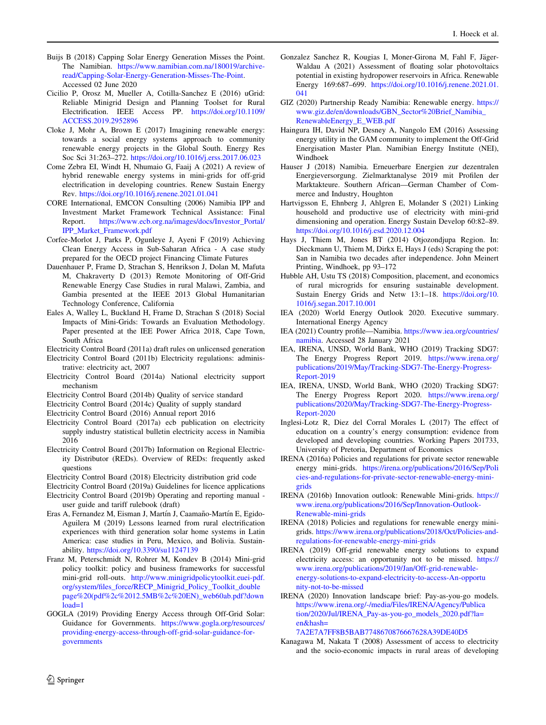- <span id="page-14-0"></span>Buijs B (2018) Capping Solar Energy Generation Misses the Point. The Namibian. [https://www.namibian.com.na/180019/archive](https://www.namibian.com.na/180019/archive-read/Capping-Solar-Energy-Generation-Misses-The-Point)[read/Capping-Solar-Energy-Generation-Misses-The-Point.](https://www.namibian.com.na/180019/archive-read/Capping-Solar-Energy-Generation-Misses-The-Point) Accessed 02 June 2020
- Cicilio P, Orosz M, Mueller A, Cotilla-Sanchez E (2016) uGrid: Reliable Minigrid Design and Planning Toolset for Rural Electrification. IEEE Access PP. [https://doi.org/10.1109/](https://doi.org/10.1109/ACCESS.2019.2952896) [ACCESS.2019.2952896](https://doi.org/10.1109/ACCESS.2019.2952896)
- Cloke J, Mohr A, Brown E (2017) Imagining renewable energy: towards a social energy systems approach to community renewable energy projects in the Global South. Energy Res Soc Sci 31:263–272. <https://doi.org/10.1016/j.erss.2017.06.023>
- Come Zebra EI, Windt H, Nhumaio G, Faaij A (2021) A review of hybrid renewable energy systems in mini-grids for off-grid electrification in developing countries. Renew Sustain Energy Rev. <https://doi.org/10.1016/j.renene.2021.01.041>
- CORE International, EMCON Consulting (2006) Namibia IPP and Investment Market Framework Technical Assistance: Final Report. [https://www.ecb.org.na/images/docs/Investor\\_Portal/](https://www.ecb.org.na/images/docs/Investor_Portal/IPP_Market_Framework.pdf) [IPP\\_Market\\_Framework.pdf](https://www.ecb.org.na/images/docs/Investor_Portal/IPP_Market_Framework.pdf)
- Corfee-Morlot J, Parks P, Ogunleye J, Ayeni F (2019) Achieving Clean Energy Access in Sub-Saharan Africa - A case study prepared for the OECD project Financing Climate Futures
- Dauenhauer P, Frame D, Strachan S, Henrikson J, Dolan M, Mafuta M, Chakraverty D (2013) Remote Monitoring of Off-Grid Renewable Energy Case Studies in rural Malawi, Zambia, and Gambia presented at the IEEE 2013 Global Humanitarian Technology Conference, California
- Eales A, Walley L, Buckland H, Frame D, Strachan S (2018) Social Impacts of Mini-Grids: Towards an Evaluation Methodology. Paper presented at the IEE Power Africa 2018, Cape Town, South Africa

Electricity Control Board (2011a) draft rules on unlicensed generation

Electricity Control Board (2011b) Electricity regulations: administrative: electricity act, 2007

- Electricity Control Board (2014a) National electricity support mechanism
- Electricity Control Board (2014b) Quality of service standard
- Electricity Control Board (2014c) Quality of supply standard
- Electricity Control Board (2016) Annual report 2016
- Electricity Control Board (2017a) ecb publication on electricity supply industry statistical bulletin electricity access in Namibia 2016
- Electricity Control Board (2017b) Information on Regional Electricity Distributor (REDs). Overview of REDs: frequently asked questions
- Electricity Control Board (2018) Electricity distribution grid code
- Electricity Control Board (2019a) Guidelines for licence applications
- Electricity Control Board (2019b) Operating and reporting manual user guide and tariff rulebook (draft)
- Eras A, Fernandez M, Eisman J, Martín J, Caamaño-Martín E, Egido-Aguilera M (2019) Lessons learned from rural electrification experiences with third generation solar home systems in Latin America: case studies in Peru, Mexico, and Bolivia. Sustainability. <https://doi.org/10.3390/su11247139>
- Franz M, Peterschmidt N, Rohrer M, Kondev B (2014) Mini-grid policy toolkit: policy and business frameworks for successful mini-grid roll-outs. [http://www.minigridpolicytoolkit.euei-pdf.](http://www.minigridpolicytoolkit.euei-pdf.org/system/files_force/RECP_Minigrid_Policy_Toolkit_doublepage%20(pdf%2c%2012.5MB%2c%20EN)_web60ab.pdf?download=1) [org/system/files\\_force/RECP\\_Minigrid\\_Policy\\_Toolkit\\_double](http://www.minigridpolicytoolkit.euei-pdf.org/system/files_force/RECP_Minigrid_Policy_Toolkit_doublepage%20(pdf%2c%2012.5MB%2c%20EN)_web60ab.pdf?download=1) [page%20\(pdf%2c%2012.5MB%2c%20EN\)\\_web60ab.pdf?down](http://www.minigridpolicytoolkit.euei-pdf.org/system/files_force/RECP_Minigrid_Policy_Toolkit_doublepage%20(pdf%2c%2012.5MB%2c%20EN)_web60ab.pdf?download=1) [load=1](http://www.minigridpolicytoolkit.euei-pdf.org/system/files_force/RECP_Minigrid_Policy_Toolkit_doublepage%20(pdf%2c%2012.5MB%2c%20EN)_web60ab.pdf?download=1)
- GOGLA (2019) Providing Energy Access through Off-Grid Solar: Guidance for Governments. [https://www.gogla.org/resources/](https://www.gogla.org/resources/providing-energy-access-through-off-grid-solar-guidance-for-governments) [providing-energy-access-through-off-grid-solar-guidance-for](https://www.gogla.org/resources/providing-energy-access-through-off-grid-solar-guidance-for-governments)[governments](https://www.gogla.org/resources/providing-energy-access-through-off-grid-solar-guidance-for-governments)
- Gonzalez Sanchez R, Kougias I, Moner-Girona M, Fahl F, Jäger-Waldau A (2021) Assessment of floating solar photovoltaics potential in existing hydropower reservoirs in Africa. Renewable Energy 169:687–699. [https://doi.org/10.1016/j.renene.2021.01.](https://doi.org/10.1016/j.renene.2021.01.041) [041](https://doi.org/10.1016/j.renene.2021.01.041)
- GIZ (2020) Partnership Ready Namibia: Renewable energy. [https://](https://www.giz.de/en/downloads/GBN_Sector%20Brief_Namibia_RenewableEnergy_E_WEB.pdf) [www.giz.de/en/downloads/GBN\\_Sector%20Brief\\_Namibia\\_](https://www.giz.de/en/downloads/GBN_Sector%20Brief_Namibia_RenewableEnergy_E_WEB.pdf) [RenewableEnergy\\_E\\_WEB.pdf](https://www.giz.de/en/downloads/GBN_Sector%20Brief_Namibia_RenewableEnergy_E_WEB.pdf)
- Haingura IH, David NP, Desney A, Nangolo EM (2016) Assessing energy utility in the GAM community to implement the Off-Grid Energisation Master Plan. Namibian Energy Institute (NEI), Windhoek
- Hauser J (2018) Namibia. Erneuerbare Energien zur dezentralen Energieversorgung. Zielmarktanalyse 2019 mit Profilen der Marktakteure. Southern African—German Chamber of Commerce and Industry, Houghton
- Hartvigsson E, Ehnberg J, Ahlgren E, Molander S (2021) Linking household and productive use of electricity with mini-grid dimensioning and operation. Energy Sustain Develop 60:82–89. <https://doi.org/10.1016/j.esd.2020.12.004>
- Hays J, Thiem M, Jones BT (2014) Otjozondjupa Region. In: Dieckmann U, Thiem M, Dirkx E, Hays J (eds) Scraping the pot: San in Namibia two decades after independence. John Meinert Printing, Windhoek, pp 93–172
- Hubble AH, Ustu TS (2018) Composition, placement, and economics of rural microgrids for ensuring sustainable development. Sustain Energy Grids and Netw 13:1–18. [https://doi.org/10.](https://doi.org/10.1016/j.segan.2017.10.001) [1016/j.segan.2017.10.001](https://doi.org/10.1016/j.segan.2017.10.001)
- IEA (2020) World Energy Outlook 2020. Executive summary. International Energy Agency
- IEA (2021) Country profile—Namibia. [https://www.iea.org/countries/](https://www.iea.org/countries/namibia) [namibia.](https://www.iea.org/countries/namibia) Accessed 28 January 2021
- IEA, IRENA, UNSD, World Bank, WHO (2019) Tracking SDG7: The Energy Progress Report 2019. [https://www.irena.org/](https://www.irena.org/publications/2019/May/Tracking-SDG7-The-Energy-Progress-Report-2019) [publications/2019/May/Tracking-SDG7-The-Energy-Progress-](https://www.irena.org/publications/2019/May/Tracking-SDG7-The-Energy-Progress-Report-2019)[Report-2019](https://www.irena.org/publications/2019/May/Tracking-SDG7-The-Energy-Progress-Report-2019)
- IEA, IRENA, UNSD, World Bank, WHO (2020) Tracking SDG7: The Energy Progress Report 2020. [https://www.irena.org/](https://www.irena.org/publications/2020/May/Tracking-SDG7-The-Energy-Progress-Report-2020) [publications/2020/May/Tracking-SDG7-The-Energy-Progress-](https://www.irena.org/publications/2020/May/Tracking-SDG7-The-Energy-Progress-Report-2020)[Report-2020](https://www.irena.org/publications/2020/May/Tracking-SDG7-The-Energy-Progress-Report-2020)
- Inglesi-Lotz R, Diez del Corral Morales L (2017) The effect of education on a country's energy consumption: evidence from developed and developing countries. Working Papers 201733, University of Pretoria, Department of Economics
- IRENA (2016a) Policies and regulations for private sector renewable energy mini-grids. [https://irena.org/publications/2016/Sep/Poli](https://irena.org/publications/2016/Sep/Policies-and-regulations-for-private-sector-renewable-energy-mini-grids) [cies-and-regulations-for-private-sector-renewable-energy-mini](https://irena.org/publications/2016/Sep/Policies-and-regulations-for-private-sector-renewable-energy-mini-grids)[grids](https://irena.org/publications/2016/Sep/Policies-and-regulations-for-private-sector-renewable-energy-mini-grids)
- IRENA (2016b) Innovation outlook: Renewable Mini-grids. [https://](https://www.irena.org/publications/2016/Sep/Innovation-Outlook-Renewable-mini-grids) [www.irena.org/publications/2016/Sep/Innovation-Outlook-](https://www.irena.org/publications/2016/Sep/Innovation-Outlook-Renewable-mini-grids)[Renewable-mini-grids](https://www.irena.org/publications/2016/Sep/Innovation-Outlook-Renewable-mini-grids)
- IRENA (2018) Policies and regulations for renewable energy minigrids. [https://www.irena.org/publications/2018/Oct/Policies-and](https://www.irena.org/publications/2018/Oct/Policies-and-regulations-for-renewable-energy-mini-grids)[regulations-for-renewable-energy-mini-grids](https://www.irena.org/publications/2018/Oct/Policies-and-regulations-for-renewable-energy-mini-grids)
- IRENA (2019) Off-grid renewable energy solutions to expand electricity access: an opportunity not to be missed. [https://](https://www.irena.org/publications/2019/Jan/Off-grid-renewable-energy-solutions-to-expand-electricity-to-access-An-opportunity-not-to-be-missed) [www.irena.org/publications/2019/Jan/Off-grid-renewable](https://www.irena.org/publications/2019/Jan/Off-grid-renewable-energy-solutions-to-expand-electricity-to-access-An-opportunity-not-to-be-missed)[energy-solutions-to-expand-electricity-to-access-An-opportu](https://www.irena.org/publications/2019/Jan/Off-grid-renewable-energy-solutions-to-expand-electricity-to-access-An-opportunity-not-to-be-missed) [nity-not-to-be-missed](https://www.irena.org/publications/2019/Jan/Off-grid-renewable-energy-solutions-to-expand-electricity-to-access-An-opportunity-not-to-be-missed)
- IRENA (2020) Innovation landscape brief: Pay-as-you-go models. [https://www.irena.org/-/media/Files/IRENA/Agency/Publica](https://www.irena.org/-/media/Files/IRENA/Agency/Publication/2020/Jul/IRENA_Pay-as-you-go_models_2020.pdf?la=en&hash=7A2E7A7FF8B5BAB7748670876667628A39DE40D5) [tion/2020/Jul/IRENA\\_Pay-as-you-go\\_models\\_2020.pdf?la=](https://www.irena.org/-/media/Files/IRENA/Agency/Publication/2020/Jul/IRENA_Pay-as-you-go_models_2020.pdf?la=en&hash=7A2E7A7FF8B5BAB7748670876667628A39DE40D5) [en&hash=](https://www.irena.org/-/media/Files/IRENA/Agency/Publication/2020/Jul/IRENA_Pay-as-you-go_models_2020.pdf?la=en&hash=7A2E7A7FF8B5BAB7748670876667628A39DE40D5)

[7A2E7A7FF8B5BAB7748670876667628A39DE40D5](https://www.irena.org/-/media/Files/IRENA/Agency/Publication/2020/Jul/IRENA_Pay-as-you-go_models_2020.pdf?la=en&hash=7A2E7A7FF8B5BAB7748670876667628A39DE40D5)

Kanagawa M, Nakata T (2008) Assessment of access to electricity and the socio-economic impacts in rural areas of developing